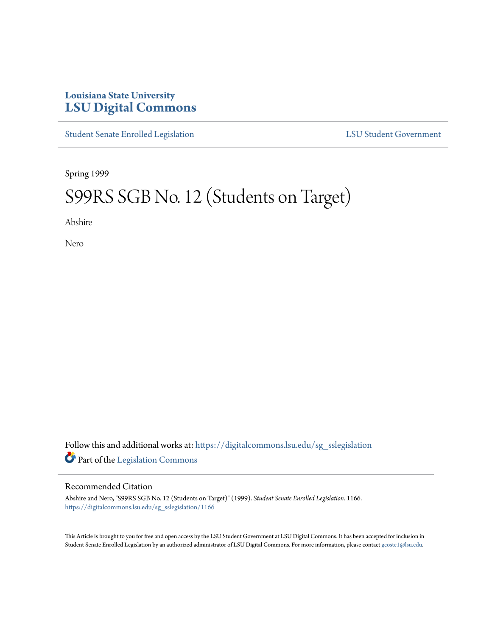## **Louisiana State University [LSU Digital Commons](https://digitalcommons.lsu.edu?utm_source=digitalcommons.lsu.edu%2Fsg_sslegislation%2F1166&utm_medium=PDF&utm_campaign=PDFCoverPages)**

[Student Senate Enrolled Legislation](https://digitalcommons.lsu.edu/sg_sslegislation?utm_source=digitalcommons.lsu.edu%2Fsg_sslegislation%2F1166&utm_medium=PDF&utm_campaign=PDFCoverPages) [LSU Student Government](https://digitalcommons.lsu.edu/sg?utm_source=digitalcommons.lsu.edu%2Fsg_sslegislation%2F1166&utm_medium=PDF&utm_campaign=PDFCoverPages)

Spring 1999

# S99RS SGB No. 12 (Students on Target)

Abshire

Nero

Follow this and additional works at: [https://digitalcommons.lsu.edu/sg\\_sslegislation](https://digitalcommons.lsu.edu/sg_sslegislation?utm_source=digitalcommons.lsu.edu%2Fsg_sslegislation%2F1166&utm_medium=PDF&utm_campaign=PDFCoverPages) Part of the [Legislation Commons](http://network.bepress.com/hgg/discipline/859?utm_source=digitalcommons.lsu.edu%2Fsg_sslegislation%2F1166&utm_medium=PDF&utm_campaign=PDFCoverPages)

#### Recommended Citation

Abshire and Nero, "S99RS SGB No. 12 (Students on Target)" (1999). *Student Senate Enrolled Legislation*. 1166. [https://digitalcommons.lsu.edu/sg\\_sslegislation/1166](https://digitalcommons.lsu.edu/sg_sslegislation/1166?utm_source=digitalcommons.lsu.edu%2Fsg_sslegislation%2F1166&utm_medium=PDF&utm_campaign=PDFCoverPages)

This Article is brought to you for free and open access by the LSU Student Government at LSU Digital Commons. It has been accepted for inclusion in Student Senate Enrolled Legislation by an authorized administrator of LSU Digital Commons. For more information, please contact [gcoste1@lsu.edu.](mailto:gcoste1@lsu.edu)